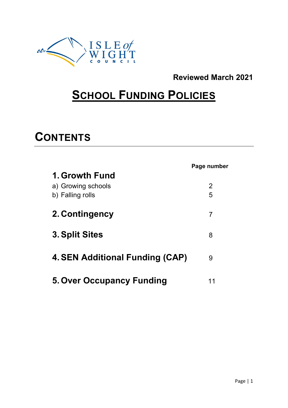

### **Reviewed March 2021**

# **SCHOOL FUNDING POLICIES**

# **CONTENTS**

<span id="page-0-1"></span><span id="page-0-0"></span>

|                                      | Page number    |
|--------------------------------------|----------------|
| 1. Growth Fund<br>a) Growing schools | $\overline{2}$ |
| b) Falling rolls                     | 5              |
| 2. Contingency                       | 7              |
| 3. Split Sites                       | 8              |
| 4. SEN Additional Funding (CAP)      | 9              |
| <b>5. Over Occupancy Funding</b>     | 11             |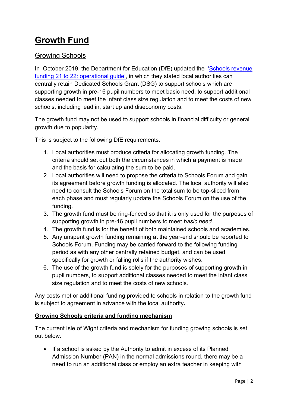### <span id="page-1-0"></span>**Growth Fund**

### [Growing Schools](#page-0-0)

In October 2019, the Department for Education (DfE) updated the 'Schools revenue [funding 21 to 22: operational guide',](https://assets.publishing.service.gov.uk/government/uploads/system/uploads/attachment_data/file/945784/Schools_Operational_guide_2021_to_2022_V4_.pdf) in which they stated local authorities can centrally retain Dedicated Schools Grant (DSG) to support schools which are supporting growth in pre-16 pupil numbers to meet basic need, to support additional classes needed to meet the infant class size regulation and to meet the costs of new schools, including lead in, start up and diseconomy costs.

The growth fund may not be used to support schools in financial difficulty or general growth due to popularity.

This is subject to the following DfE requirements:

- 1. Local authorities must produce criteria for allocating growth funding. The criteria should set out both the circumstances in which a payment is made and the basis for calculating the sum to be paid.
- 2. Local authorities will need to propose the criteria to Schools Forum and gain its agreement before growth funding is allocated. The local authority will also need to consult the Schools Forum on the total sum to be top-sliced from each phase and must regularly update the Schools Forum on the use of the funding.
- 3. The growth fund must be ring-fenced so that it is only used for the purposes of supporting growth in pre-16 pupil numbers to meet *basic need*.
- 4. The growth fund is for the benefit of both maintained schools and academies.
- 5. Any unspent growth funding remaining at the year-end should be reported to Schools Forum. Funding may be carried forward to the following funding period as with any other centrally retained budget, and can be used specifically for growth or falling rolls if the authority wishes.
- 6. The use of the growth fund is solely for the purposes of supporting growth in pupil numbers, to support additional classes needed to meet the infant class size regulation and to meet the costs of new schools.

Any costs met or additional funding provided to schools in relation to the growth fund is subject to agreement in advance with the local authority**.**

### **Growing Schools criteria and funding mechanism**

The current Isle of Wight criteria and mechanism for funding growing schools is set out below.

• If a school is asked by the Authority to admit in excess of its Planned Admission Number (PAN) in the normal admissions round, there may be a need to run an additional class or employ an extra teacher in keeping with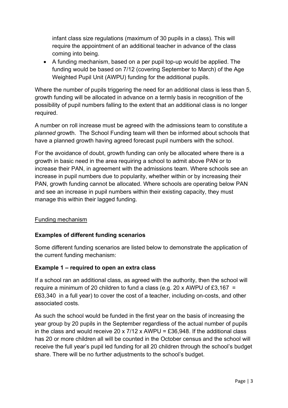infant class size regulations (maximum of 30 pupils in a class). This will require the appointment of an additional teacher in advance of the class coming into being.

• A funding mechanism, based on a per pupil top-up would be applied. The funding would be based on 7/12 (covering September to March) of the Age Weighted Pupil Unit (AWPU) funding for the additional pupils.

Where the number of pupils triggering the need for an additional class is less than 5, growth funding will be allocated in advance on a termly basis in recognition of the possibility of pupil numbers falling to the extent that an additional class is no longer required.

A number on roll increase must be agreed with the admissions team to constitute a *planned* growth. The School Funding team will then be informed about schools that have a planned growth having agreed forecast pupil numbers with the school.

For the avoidance of doubt, growth funding can only be allocated where there is a growth in basic need in the area requiring a school to admit above PAN or to increase their PAN, in agreement with the admissions team. Where schools see an increase in pupil numbers due to popularity, whether within or by increasing their PAN, growth funding cannot be allocated. Where schools are operating below PAN and see an increase in pupil numbers within their existing capacity, they must manage this within their lagged funding.

### Funding mechanism

### **Examples of different funding scenarios**

Some different funding scenarios are listed below to demonstrate the application of the current funding mechanism:

### **Example 1 – required to open an extra class**

If a school ran an additional class, as agreed with the authority, then the school will require a minimum of 20 children to fund a class (e.g. 20 x AWPU of £3,167 = £63,340 in a full year) to cover the cost of a teacher, including on-costs, and other associated costs.

As such the school would be funded in the first year on the basis of increasing the year group by 20 pupils in the September regardless of the actual number of pupils in the class and would receive 20 x  $7/12$  x AWPU = £36,948. If the additional class has 20 or more children all will be counted in the October census and the school will receive the full year's pupil led funding for all 20 children through the school's budget share. There will be no further adjustments to the school's budget.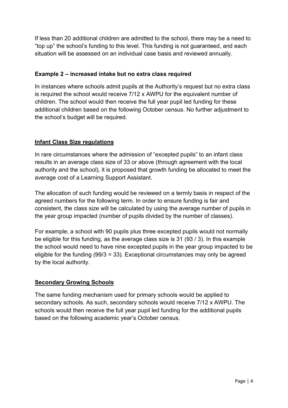If less than 20 additional children are admitted to the school, there may be a need to "top up" the school's funding to this level. This funding is not guaranteed, and each situation will be assessed on an individual case basis and reviewed annually.

### **Example 2 – increased intake but no extra class required**

In instances where schools admit pupils at the Authority's request but no extra class is required the school would receive 7/12 x AWPU for the equivalent number of children. The school would then receive the full year pupil led funding for these additional children based on the following October census. No further adjustment to the school's budget will be required.

### **Infant Class Size regulations**

In rare circumstances where the admission of "excepted pupils" to an infant class results in an average class size of 33 or above (through agreement with the local authority and the school), it is proposed that growth funding be allocated to meet the average cost of a Learning Support Assistant.

The allocation of such funding would be reviewed on a termly basis in respect of the agreed numbers for the following term. In order to ensure funding is fair and consistent, the class size will be calculated by using the average number of pupils in the year group impacted (number of pupils divided by the number of classes).

For example, a school with 90 pupils plus three excepted pupils would not normally be eligible for this funding, as the average class size is 31 (93 / 3). In this example the school would need to have nine excepted pupils in the year group impacted to be eligible for the funding (99/3 = 33). Exceptional circumstances may only be agreed by the local authority.

### **Secondary Growing Schools**

The same funding mechanism used for primary schools would be applied to secondary schools. As such, secondary schools would receive 7/12 x AWPU. The schools would then receive the full year pupil led funding for the additional pupils based on the following academic year's October census.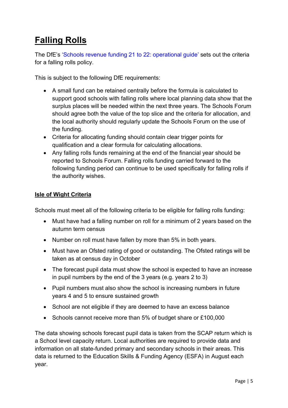## **Falling Rolls**

The DfE's ['Schools revenue funding 21 to 22: operational guide'](https://assets.publishing.service.gov.uk/government/uploads/system/uploads/attachment_data/file/945784/Schools_Operational_guide_2021_to_2022_V4_.pdf) sets out the criteria for a falling rolls policy.

This is subject to the following DfE requirements:

- A small fund can be retained centrally before the formula is calculated to support good schools with falling rolls where local planning data show that the surplus places will be needed within the next three years. The Schools Forum should agree both the value of the top slice and the criteria for allocation, and the local authority should regularly update the Schools Forum on the use of the funding.
- Criteria for allocating funding should contain clear trigger points for qualification and a clear formula for calculating allocations.
- Any falling rolls funds remaining at the end of the financial year should be reported to Schools Forum. Falling rolls funding carried forward to the following funding period can continue to be used specifically for falling rolls if the authority wishes.

### **Isle of Wight Criteria**

Schools must meet all of the following criteria to be eligible for falling rolls funding:

- Must have had a falling number on roll for a minimum of 2 years based on the autumn term census
- Number on roll must have fallen by more than 5% in both years.
- Must have an Ofsted rating of good or outstanding. The Ofsted ratings will be taken as at census day in October
- The forecast pupil data must show the school is expected to have an increase in pupil numbers by the end of the 3 years (e.g. years 2 to 3)
- Pupil numbers must also show the school is increasing numbers in future years 4 and 5 to ensure sustained growth
- School are not eligible if they are deemed to have an excess balance
- Schools cannot receive more than 5% of budget share or £100,000

The data showing schools forecast pupil data is taken from the SCAP return which is a School level capacity return. Local authorities are required to provide data and information on all state-funded primary and secondary schools in their areas. This data is returned to the Education Skills & Funding Agency (ESFA) in August each year.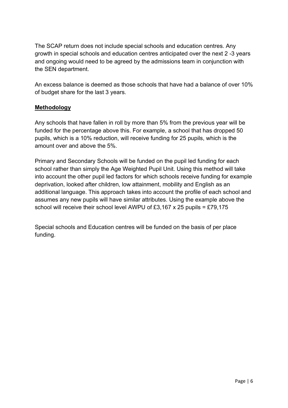The SCAP return does not include special schools and education centres. Any growth in special schools and education centres anticipated over the next 2 -3 years and ongoing would need to be agreed by the admissions team in conjunction with the SEN department.

An excess balance is deemed as those schools that have had a balance of over 10% of budget share for the last 3 years.

### **Methodology**

Any schools that have fallen in roll by more than 5% from the previous year will be funded for the percentage above this. For example, a school that has dropped 50 pupils, which is a 10% reduction, will receive funding for 25 pupils, which is the amount over and above the 5%.

Primary and Secondary Schools will be funded on the pupil led funding for each school rather than simply the Age Weighted Pupil Unit. Using this method will take into account the other pupil led factors for which schools receive funding for example deprivation, looked after children, low attainment, mobility and English as an additional language. This approach takes into account the profile of each school and assumes any new pupils will have similar attributes. Using the example above the school will receive their school level AWPU of £3,167 x 25 pupils = £79,175

Special schools and Education centres will be funded on the basis of per place funding.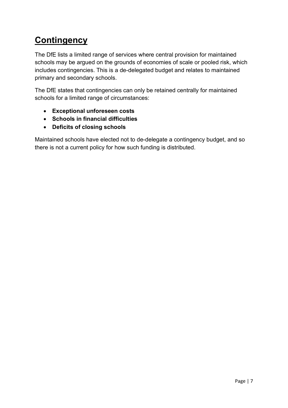### **Contingency**

The DfE lists a limited range of services where central provision for maintained schools may be argued on the grounds of economies of scale or pooled risk, which includes contingencies. This is a de-delegated budget and relates to maintained primary and secondary schools.

The DfE states that contingencies can only be retained centrally for maintained schools for a limited range of circumstances:

- **Exceptional unforeseen costs**
- **Schools in financial difficulties**
- **Deficits of closing schools**

<span id="page-6-0"></span>Maintained schools have elected not to de-delegate a contingency budget, and so there is not a current policy for how such funding is distributed.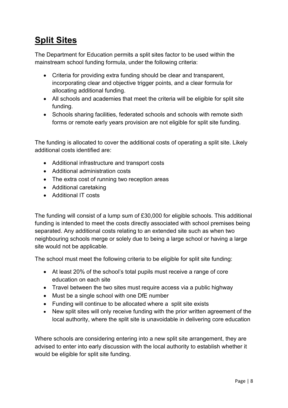### **[Split Sites](#page-0-1)**

The Department for Education permits a split sites factor to be used within the mainstream school funding formula, under the following criteria:

- Criteria for providing extra funding should be clear and transparent, incorporating clear and objective trigger points, and a clear formula for allocating additional funding.
- All schools and academies that meet the criteria will be eligible for split site funding.
- Schools sharing facilities, federated schools and schools with remote sixth forms or remote early years provision are not eligible for split site funding.

The funding is allocated to cover the additional costs of operating a split site. Likely additional costs identified are:

- Additional infrastructure and transport costs
- Additional administration costs
- The extra cost of running two reception areas
- Additional caretaking
- Additional IT costs

The funding will consist of a lump sum of £30,000 for eligible schools. This additional funding is intended to meet the costs directly associated with school premises being separated. Any additional costs relating to an extended site such as when two neighbouring schools merge or solely due to being a large school or having a large site would not be applicable.

The school must meet the following criteria to be eligible for split site funding:

- At least 20% of the school's total pupils must receive a range of core education on each site
- Travel between the two sites must require access via a public highway
- Must be a single school with one DfE number
- Funding will continue to be allocated where a split site exists
- New split sites will only receive funding with the prior written agreement of the local authority, where the split site is unavoidable in delivering core education

Where schools are considering entering into a new split site arrangement, they are advised to enter into early discussion with the local authority to establish whether it would be eligible for split site funding.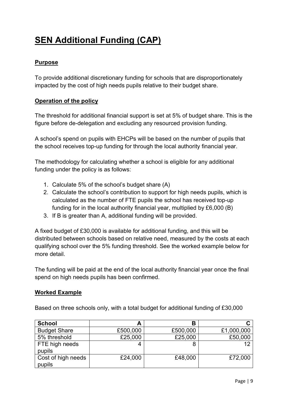## **SEN Additional Funding (CAP)**

### **Purpose**

To provide additional discretionary funding for schools that are disproportionately impacted by the cost of high needs pupils relative to their budget share.

### **Operation of the policy**

The threshold for additional financial support is set at 5% of budget share. This is the figure before de-delegation and excluding any resourced provision funding.

A school's spend on pupils with EHCPs will be based on the number of pupils that the school receives top-up funding for through the local authority financial year.

The methodology for calculating whether a school is eligible for any additional funding under the policy is as follows:

- 1. Calculate 5% of the school's budget share (A)
- 2. Calculate the school's contribution to support for high needs pupils, which is calculated as the number of FTE pupils the school has received top-up funding for in the local authority financial year, multiplied by £6,000 (B)
- 3. If B is greater than A, additional funding will be provided.

A fixed budget of £30,000 is available for additional funding, and this will be distributed between schools based on relative need, measured by the costs at each qualifying school over the 5% funding threshold. See the worked example below for more detail.

The funding will be paid at the end of the local authority financial year once the final spend on high needs pupils has been confirmed.

#### **Worked Example**

Based on three schools only, with a total budget for additional funding of £30,000

| <b>School</b>       | A        | В        |            |
|---------------------|----------|----------|------------|
| <b>Budget Share</b> | £500,000 | £500,000 | £1,000,000 |
| 5% threshold        | £25,000  | £25,000  | £50,000    |
| FTE high needs      |          |          | 12         |
| pupils              |          |          |            |
| Cost of high needs  | £24,000  | £48,000  | £72,000    |
| pupils              |          |          |            |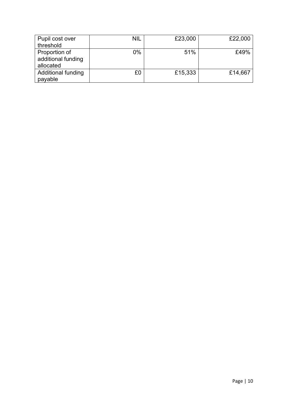| Pupil cost over           | <b>NIL</b> | £23,000 | £22,000 |
|---------------------------|------------|---------|---------|
| threshold                 |            |         |         |
| Proportion of             | $0\%$      | 51%     | £49%    |
| additional funding        |            |         |         |
| allocated                 |            |         |         |
| <b>Additional funding</b> | £0         | £15,333 | £14,667 |
| payable                   |            |         |         |